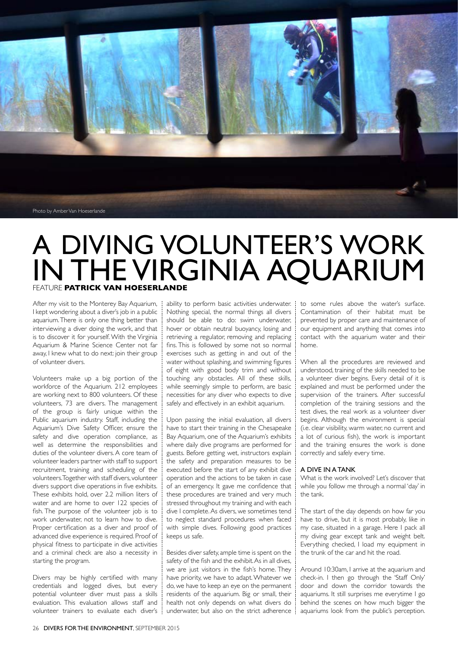

## A DIVING VOLUNTEER'S WORK IN THE VIRGINIA AQUARIUM FEATURE **PATRICK VAN HOESERLANDE**

After my visit to the Monterey Bay Aquarium, | I kept wondering about a diver's job in a public aquarium. There is only one thing better than interviewing a diver doing the work, and that is to discover it for yourself. With the Virginia Aquarium & Marine Science Center not far away, I knew what to do next: join their group of volunteer divers.

Volunteers make up a big portion of the workforce of the Aquarium. 212 employees are working next to 800 volunteers. Of these volunteers, 73 are divers. The management of the group is fairly unique within the Public aquarium industry. Staff, including the Aquarium's Dive Safety Officer, ensure the safety and dive operation compliance, as well as determine the responsibilities and duties of the volunteer divers. A core team of volunteer leaders partner with staff to support recruitment, training and scheduling of the volunteers. Together with staff divers, volunteer divers support dive operations in five exhibits. These exhibits hold, over 2.2 million liters of water and are home to over 122 species of fish. The purpose of the volunteer job is to work underwater, not to learn how to dive. Proper certification as a diver and proof of advanced dive experience is required. Proof of physical fitness to participate in dive activities and a criminal check are also a necessity in starting the program.

Divers may be highly certified with many credentials and logged dives, but every potential volunteer diver must pass a skills evaluation. This evaluation allows staff and volunteer trainers to evaluate each diver's ability to perform basic activities underwater. I Nothing special, the normal things all divers should be able to do: swim underwater, hover or obtain neutral buoyancy, losing and retrieving a regulator, removing and replacing fins. This is followed by some not so normal exercises such as getting in and out of the water without splashing, and swimming figures of eight with good body trim and without touching any obstacles. All of these skills, while seemingly simple to perform, are basic necessities for any diver who expects to dive safely and effectively in an exhibit aquarium.

Upon passing the initial evaluation, all divers have to start their training in the Chesapeake Bay Aquarium, one of the Aquarium's exhibits where daily dive programs are performed for guests. Before getting wet, instructors explain the safety and preparation measures to be executed before the start of any exhibit dive operation and the actions to be taken in case of an emergency. It gave me confidence that these procedures are trained and very much stressed throughout my training and with each dive I complete. As divers, we sometimes tend to neglect standard procedures when faced with simple dives. Following good practices keeps us safe.

Besides diver safety, ample time is spent on the safety of the fish and the exhibit. As in all dives, we are just visitors in the fish's home. They have priority, we have to adapt. Whatever we do, we have to keep an eye on the permanent residents of the aquarium. Big or small, their health not only depends on what divers do underwater, but also on the strict adherence

to some rules above the water's surface. Contamination of their habitat must be prevented by proper care and maintenance of our equipment and anything that comes into contact with the aquarium water and their home.

When all the procedures are reviewed and understood, training of the skills needed to be a volunteer diver begins. Every detail of it is explained and must be performed under the supervision of the trainers. After successful completion of the training sessions and the test dives, the real work as a volunteer diver begins. Although the environment is special (i.e. clear visibility, warm water, no current and a lot of curious fish), the work is important and the training ensures the work is done correctly and safely every time.

## A DIVE IN A TANK

What is the work involved? Let's discover that while you follow me through a normal 'day' in the tank.

The start of the day depends on how far you have to drive, but it is most probably, like in my case, situated in a garage. Here I pack all my diving gear except tank and weight belt. Everything checked, I load my equipment in the trunk of the car and hit the road.

Around 10:30am, I arrive at the aquarium and check-in. I then go through the 'Staff Only' door and down the corridor towards the aquariums. It still surprises me everytime I go behind the scenes on how much bigger the aquariums look from the public's perception.